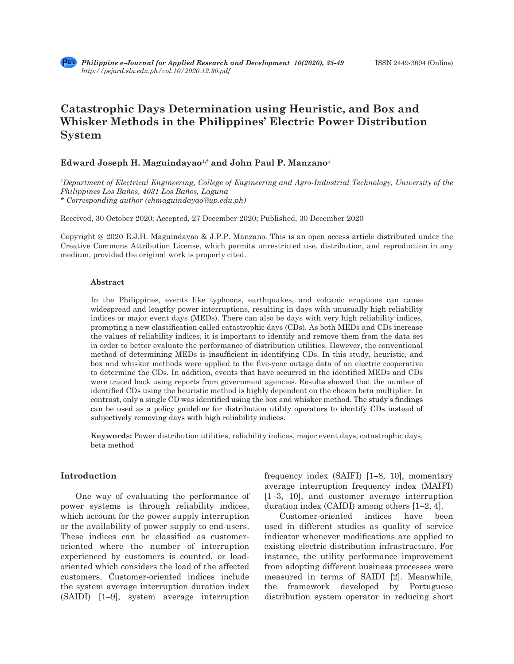# **Catastrophic Days Determination using Heuristic, and Box and Whisker Methods in the Philippines' Electric Power Distribution System**

# Edward Joseph H. Maguindayao<sup>1,\*</sup> and John Paul P. Manzano<sup>1</sup>

*1 Department of Electrical Engineering, College of Engineering and Agro-Industrial Technology, University of the Philippines Los Baños, 4031 Los Baños, Laguna \* Corresponding author (ehmaguindayao@up.edu.ph)*

Received, 30 October 2020; Accepted, 27 December 2020; Published, 30 December 2020

Copyright @ 2020 E.J.H. Maguindayao & J.P.P. Manzano. This is an open access article distributed under the Creative Commons Attribution License, which permits unrestricted use, distribution, and reproduction in any medium, provided the original work is properly cited.

#### **Abstract**

In the Philippines, events like typhoons, earthquakes, and volcanic eruptions can cause widespread and lengthy power interruptions, resulting in days with unusually high reliability indices or major event days (MEDs). There can also be days with very high reliability indices, prompting a new classification called catastrophic days (CDs). As both MEDs and CDs increase the values of reliability indices, it is important to identify and remove them from the data set in order to better evaluate the performance of distribution utilities. However, the conventional method of determining MEDs is insufficient in identifying CDs. In this study, heuristic, and box and whisker methods were applied to the five-year outage data of an electric cooperative to determine the CDs. In addition, events that have occurred in the identified MEDs and CDs were traced back using reports from government agencies. Results showed that the number of identified CDs using the heuristic method is highly dependent on the chosen beta multiplier. In contrast, only a single CD was identified using the box and whisker method. The study's findings can be used as a policy guideline for distribution utility operators to identify CDs instead of subjectively removing days with high reliability indices.

**Keywords:** Power distribution utilities, reliability indices, major event days, catastrophic days, beta method

# **Introduction**

One way of evaluating the performance of power systems is through reliability indices, which account for the power supply interruption or the availability of power supply to end-users. These indices can be classified as customeroriented where the number of interruption experienced by customers is counted, or loadoriented which considers the load of the affected customers. Customer-oriented indices include the system average interruption duration index (SAIDI) [1–9], system average interruption frequency index (SAIFI) [1–8, 10], momentary average interruption frequency index (MAIFI) [1–3, 10], and customer average interruption duration index (CAIDI) among others [1–2, 4].

Customer-oriented indices have been used in different studies as quality of service indicator whenever modifications are applied to existing electric distribution infrastructure. For instance, the utility performance improvement from adopting different business processes were measured in terms of SAIDI [2]. Meanwhile, the framework developed by Portuguese distribution system operator in reducing short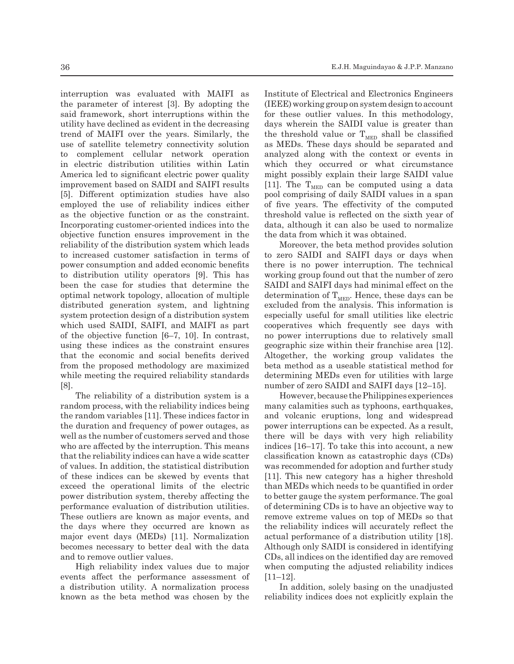interruption was evaluated with MAIFI as the parameter of interest [3]. By adopting the said framework, short interruptions within the utility have declined as evident in the decreasing trend of MAIFI over the years. Similarly, the use of satellite telemetry connectivity solution to complement cellular network operation in electric distribution utilities within Latin America led to significant electric power quality improvement based on SAIDI and SAIFI results [5]. Different optimization studies have also employed the use of reliability indices either as the objective function or as the constraint. Incorporating customer-oriented indices into the objective function ensures improvement in the reliability of the distribution system which leads to increased customer satisfaction in terms of power consumption and added economic benefits to distribution utility operators [9]. This has been the case for studies that determine the optimal network topology, allocation of multiple distributed generation system, and lightning system protection design of a distribution system which used SAIDI, SAIFI, and MAIFI as part of the objective function [6–7, 10]. In contrast, using these indices as the constraint ensures that the economic and social benefits derived from the proposed methodology are maximized while meeting the required reliability standards [8].

The reliability of a distribution system is a random process, with the reliability indices being the random variables [11]. These indices factor in the duration and frequency of power outages, as well as the number of customers served and those who are affected by the interruption. This means that the reliability indices can have a wide scatter of values. In addition, the statistical distribution of these indices can be skewed by events that exceed the operational limits of the electric power distribution system, thereby affecting the performance evaluation of distribution utilities. These outliers are known as major events, and the days where they occurred are known as major event days (MEDs) [11]. Normalization becomes necessary to better deal with the data and to remove outlier values.

High reliability index values due to major events affect the performance assessment of a distribution utility. A normalization process known as the beta method was chosen by the Institute of Electrical and Electronics Engineers (IEEE) working group on system design to account for these outlier values. In this methodology, days wherein the SAIDI value is greater than the threshold value or  $T_{\text{MED}}$  shall be classified as MEDs. These days should be separated and analyzed along with the context or events in which they occurred or what circumstance might possibly explain their large SAIDI value [11]. The  $T_{\text{MED}}$  can be computed using a data pool comprising of daily SAIDI values in a span of five years. The effectivity of the computed threshold value is reflected on the sixth year of data, although it can also be used to normalize the data from which it was obtained.

Moreover, the beta method provides solution to zero SAIDI and SAIFI days or days when there is no power interruption. The technical working group found out that the number of zero SAIDI and SAIFI days had minimal effect on the determination of  $T_{\text{MED}}$ . Hence, these days can be excluded from the analysis. This information is especially useful for small utilities like electric cooperatives which frequently see days with no power interruptions due to relatively small geographic size within their franchise area [12]. Altogether, the working group validates the beta method as a useable statistical method for determining MEDs even for utilities with large number of zero SAIDI and SAIFI days [12–15].

However, because the Philippines experiences many calamities such as typhoons, earthquakes, and volcanic eruptions, long and widespread power interruptions can be expected. As a result, there will be days with very high reliability indices [16–17]. To take this into account, a new classification known as catastrophic days (CDs) was recommended for adoption and further study [11]. This new category has a higher threshold than MEDs which needs to be quantified in order to better gauge the system performance. The goal of determining CDs is to have an objective way to remove extreme values on top of MEDs so that the reliability indices will accurately reflect the actual performance of a distribution utility [18]. Although only SAIDI is considered in identifying CDs, all indices on the identified day are removed when computing the adjusted reliability indices [11–12].

In addition, solely basing on the unadjusted reliability indices does not explicitly explain the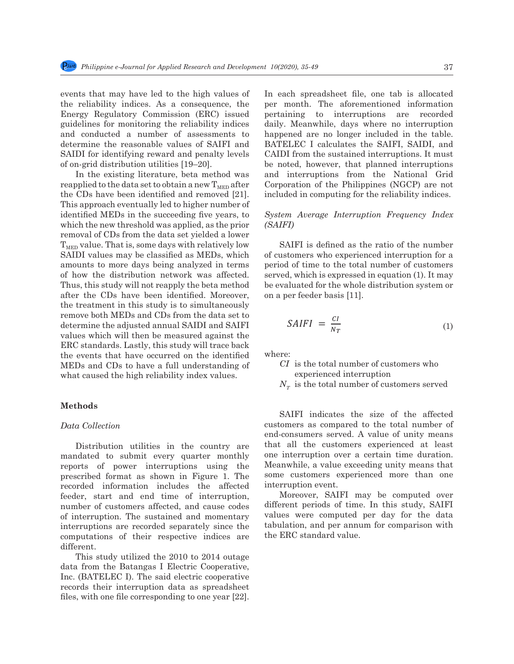112

events that may have led to the high values of the reliability indices. As a consequence, the Energy Regulatory Commission (ERC) issued guidelines for monitoring the reliability indices and conducted a number of assessments to determine the reasonable values of SAIFI and SAIDI for identifying reward and penalty levels of on-grid distribution utilities [19–20].

In the existing literature, beta method was reapplied to the data set to obtain a new  $T_{\text{MED}}$  after the CDs have been identified and removed [21]. This approach eventually led to higher number of identified MEDs in the succeeding five years, to which the new threshold was applied, as the prior removal of CDs from the data set yielded a lower  $T_{\text{MED}}$  value. That is, some days with relatively low SAIDI values may be classified as MEDs, which amounts to more days being analyzed in terms 128 of how the distribution network was affected. Thus, this study will not reapply the beta method after the CDs have been identified. Moreover, the treatment in this study is to simultaneously<br>manners hath MEDs and CDs from the data set to remove both MEDs and CDs from the data set to determine the adjusted annual SAIDI and SAIFI values which will then be measured against the ERC standards. Lastly, this study will trace back the events that have occurred on the identified MEDs and CDs to have a full understanding of what caused the high reliability index values.  $\frac{1}{2}$  be noted, sample, said  $\frac{1}{2}$  from the sustained intervals. It must be noted, however, that  $\frac{1}{2}$  from the sustainable sustained intervals. It must be noted, that is not denoted, however, that is not deno tified where:

# **Methods**

#### *Data Collection*

Distribution utilities in the country are mandated to submit every quarter monthly reports of power interruptions using the prescribed format as shown in Figure 1. The recorded information includes the affected feeder, start and end time of interruption, number of customers affected, and cause codes of interruption. The sustained and momentary interruptions are recorded separately since the computations of their respective indices are different.

This study utilized the 2010 to 2014 outage data from the Batangas I Electric Cooperative, Inc. (BATELEC I). The said electric cooperative records their interruption data as spreadsheet files, with one file corresponding to one year [22].

13 In each spreadsheet file, one tab is allocated  $\mathbf{h}_1$ , the per month. The aforementioned information ssued pertaining to interruptions are recorded ndices daily. Meanwhile, days where no interruption ts to happened are no longer included in the table. I and BATELEC I calculates the SAIFI, SAIDI, and  $\frac{0.01 \text{ N}}{201 \text{ N}}$ CAIDI from the sustained interruptions. It must EVEIS CAID ITOM the sustanted interruptions. It must<br>be noted, however, that planned interruptions d was and interruptions from the National Grid after Corporation of the Philippines (NGCP) are not  $1$  [21]. included in computing for the reliability indices.

#### rs, to System Average Interruption Frequency Index *(SAIFI)*  $125 \text{ FPTOT}$  (SAIFI) and include indices.

SAIFI is defined as the ratio of the number of customers who experienced interruption for a period of time to the total number of customers ected. served, which is expressed in equation (1). It may ethod be evaluated for the whole distribution system or  $13.3$  may be ever, on a per feeder basis [11].

SALFI 
$$
SAIFI = \frac{CI}{N_T}
$$
 (1)

- $\frac{1}{\log 6}$  *CI* is the total number of customers who experienced interruption
	- $N<sub>r</sub>$  is the total number of customers served

SAIFI indicates the size of the affected customers as compared to the total number of end-consumers served. A value of unity means that all the customers experienced at least one interruption over a certain time duration. Meanwhile, a value exceeding unity means that some customers experienced more than one interruption event.

Moreover, SAIFI may be computed over different periods of time. In this study, SAIFI values were computed per day for the data tabulation, and per annum for comparison with the ERC standard value.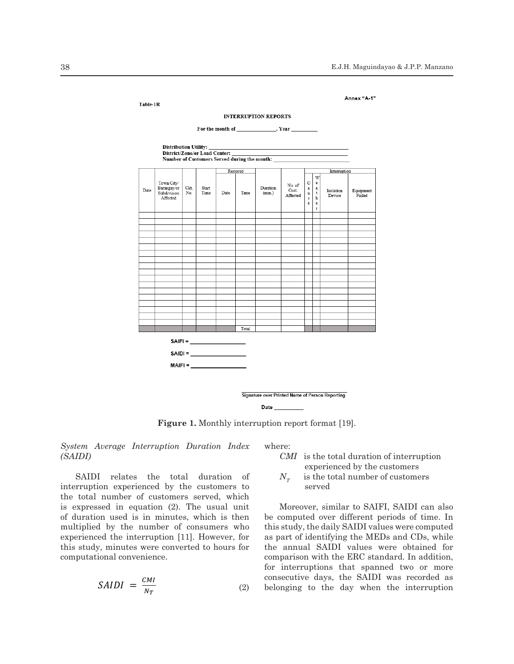

 $140$  Fig. 1. Monthly Interruption Report Format  $[19]$ . **Figure 1.** Monthly interruption report format [19].

 $\frac{1}{2}$  SAIDI)  $CMI$  is the total duration of interruption *System Average Interruption Duration Index (SAIDI)* 

SAIDI relates the total duration of  $N<sub>T</sub>$  is the total number of customers interruption experienced by the customers to the total number of customers served, which  $\mathcal{L}(\mathcal{L})$  and  $\mathcal{L}(\mathcal{L})$  is study,  $\mathcal{L}(\mathcal{L})$  and  $\mathcal{L}(\mathcal{L})$  is study,  $\mathcal{L}(\mathcal{L})$ is expressed in equation (2). The usual unit Moreover, similar to SAIFI, SAIDI can also of duration used is in minutes, which is then be computed over different periods of time. In or dendron doed to in immediately, which is encircled multiplied by the number of consumers who this study, minutes were converted to hours for the of duration used is in minutes, which is then experienced the interruption [11]. However, for computational convenience.<br>
5 comparison with the ERC standard. In addition,

SADI = 
$$
\frac{CM}{N_T}
$$
 (2) belonging to the day when the interruption

where:

experienced by the customers

 $N_T$  is the total number of customers served

for interruptions that spanned two or more  $153.5 \text{ cm}$  consecutive days, the SAIDI was recorded as  $SADI = \frac{CMI}{N_T}$  (2) belonging to the day when the interruption Moreover, similar to SAIFI, SAIDI can also be computed over different periods of time. In this study, the daily SAIDI values were computed as part of identifying the MEDs and CDs, while the annual SAIDI values were obtained for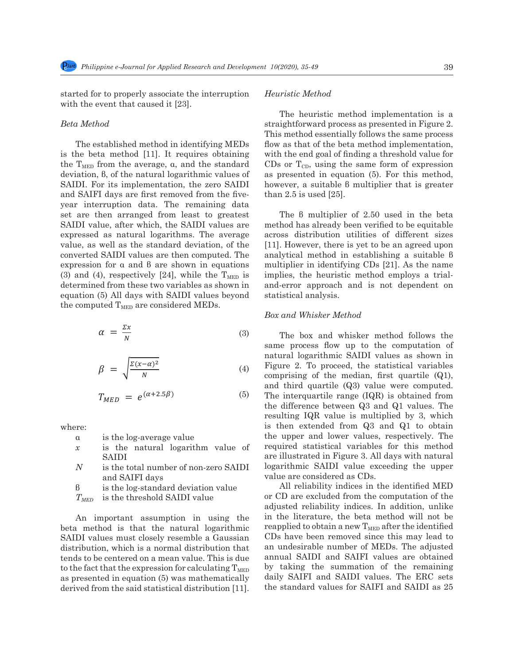161 *CMI* is the total duration of interruption experienced by the customers

161 *CMI* is the total duration of interruption experienced by the customers

started for to properly associate the interruption Heur with the event that caused it [23].

#### *Beta Method*

is the beta method [11]. It requires obtaining with the end goal of finding a threshold value for the  $T<sub>MED</sub>$  from the average,  $\alpha$ , and the standard deviation, β, of the natural logarithmic values of  $d$ SAIDI. For its implementation, the zero SAIDI and SAIFI days are first removed from the fiveyear interruption data. The remaining data set are then arranged from least to greatest The  $\beta$  multiplier of 2.50 used in the beta SAIDI value, after which, the SAIDI values are method has already been verified to be equitable<br> expressed as natural logarithms. The average across distribution utilities of different sizes<br>religious as well as the standard deviation of the  $[111]$  Haussen there is not to be an agreed unan value, as well as the standard deviation, of the  $[11]$ . However, there is yet to be an agreed upon converted SAIDI values are then computed. The analytical method in establishing a suitable b  $\alpha$  expression for  $\alpha$  and  $\beta$  are shown in equations and method in establishing a suitable b expression for  $\alpha$  and  $\beta$  are shown in equations a multiplier in identifying CDs [21]. As the name (3) and (4), respectively [24], while the  $T_{\text{MED}}$  is implies, the heuristic method employs a trialdetermined from these two variables as shown in and-error approach and is not dependent on equation  $(5)$  All days with SAIDI values beyond statistical analysis. the computed  $T<sub>MED</sub>$  are considered MEDs. 18 the beta method [11]. It requires obtaining with the end goal of finding a threshold value for<br>the  $T =$  from the evenece  $\alpha$  and the etendent.  $CD_{\alpha} \alpha T =$  using the same form of eventscien expressed as natural logarithms. The average across distribution diffuses of different sizes<br>value, as well as the standard deviation, of the [11]. However, there is yet to be an agreed upon

$$
\alpha = \frac{\Sigma x}{N}
$$
 (3) The box and whisker method follows the  
same process flow up to the computation of

$$
\beta = \sqrt{\frac{\Sigma(x-\alpha)^2}{N}} \tag{4}
$$

$$
T_{MED} = e^{(\alpha + 2.5\beta)} \tag{5}
$$

where:

- **α** is the log-average value
- a is the log-average value the value of the value of the value of  $\frac{1}{2}$  is the natural logarithm value of requi SAIDI
- *N* is the total number of non-zero SAIDI and SAIFI days
	- β is the log-standard deviation value
	- $T<sub>MED</sub>$  is the threshold SAIDI value

 $\mu$  m important assumption in using the  $\mu$  m are increased; the set method win not be beta method is that the natural logarithmic reapplied to obtain a new  $T_{\text{MED}}$  after the identified SAIDI values must closely resemble a Gaussian CDs have been removed since this may lead to An important assumption in using the beta method is that the natural logarithmic SAIDI values must closely resemble a Gaussian distribution, which is a normal distribution that tends to be centered on a mean value. This is due to the fact that the expression for calculating  $T_{\text{MED}}$ as presented in equation (5) was mathematically derived from the said statistical distribution [11].

### *Heuristic Method*

The established method in identifying MEDs flow as that of the beta method implementation, when the event that caused it [20].<br>The heuristic method implementation is a Beta Method<br>
Straightforward process as presented in Figure 2. This method essentially follows the same process flow as that of the beta method implementation, with the end goal of finding a threshold value for CDs or  $T_{CD}$ , using the same form of expression as presented in equation (5). For this method, however, a suitable β multiplier that is greater than 2.5 is used [25].

> The β multiplier of 2.50 used in the beta method has already been verified to be equitable across distribution utilities of different sizes analytical method in establishing a suitable β multiplier in identifying CDs [21]. As the name implies, the heuristic method employs a trialand-error approach and is not dependent on statistical analysis.

#### *Box and Whisker Method*

 $\beta = \sqrt{\frac{\sum (x-\alpha)^2}{N}}$  (4) Figure 2. To proceed, the statistical variables  $T_{MED} = e^{(\alpha+2.5\beta)}$  (5) The interquartile range (IQR) is obtained from<br>the difference between  $\Omega^3$  and  $\Omega^1$  values. The SAIDI are illustrated in Figure 3. All days with natural same process flow up to the computation of natural logarithmic SAIDI values as shown in comprising of the median, first quartile (Q1), and third quartile (Q3) value were computed. the difference between Q3 and Q1 values. The resulting IQR value is multiplied by 3, which is then extended from Q3 and Q1 to obtain the upper and lower values, respectively. The required statistical variables for this method logarithmic SAIDI value exceeding the upper value are considered as CDs.

 $T_{MED}$  is the threshold SAIDI value or CD are excluded from the computation of the agust containing must closely resemble a Gaussian distribution of the mother in the semi- $T_{MED}$  is the threshold SAIDI value or CD are excluded from the computation of the adjusted reliability indices. In addition, unlike An important assumption in using the in the literature, the beta method will not be All reliability indices in the identified MED an undesirable number of MEDs. The adjusted annual SAIDI and SAIFI values are obtained by taking the summation of the remaining daily SAIFI and SAIDI values. The ERC sets the standard values for SAIFI and SAIDI as 25

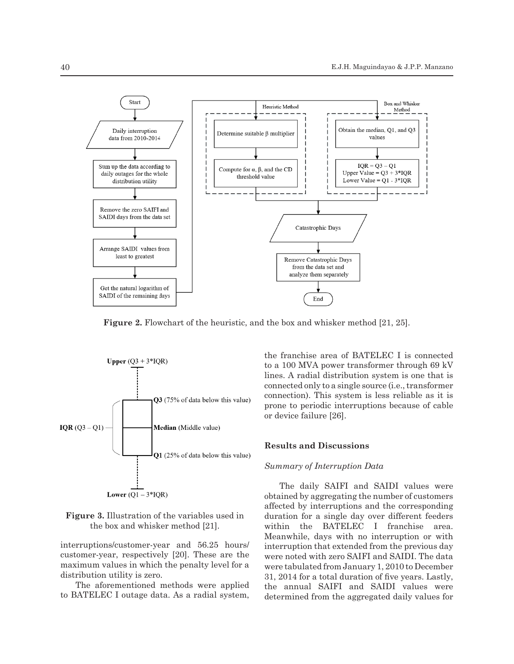

**Figure 2.** Flowchart of the heuristic, and the box and whisker method [21, 25].



the box and whisker method [21].

meanwhile, days w<br>interruptions/customer-year and 56.25 hours/ interruption that ex merruptions respectively [20]. These are the were noted with zero- $\frac{2}{3}$  really  $\frac{2}{3}$  reapplied to  $\frac{2}{3}$  respectively  $\frac{2}{3}$  respectively. The integral to the integral to  $\frac{2}{3}$  and  $\frac{2}{3}$  removed since the identified from distribution utility is zero. The adjusted and MED stated and SAIDI and SAIDI and SAIDI and SAIDI and SAIDI and SAIDI and SAIDI and SAIDI and SAIDI and SAIDI and SAIDI and SAIDI and SAIDI and SAIDI and SAIDI and SAIDI and

The aforementioned methods were applied the annual SAIFI to BATELEC I outage data. As a radial system, determined from the

connection). This system is less reliable as it is prone to periodic interruptions because of cable or device failure [26].

obtained by aggregating the number of customers  $\frac{227}{227}$  covalued by aggregating the number of customers affected by interruptions and the corresponding duration for a single day over different feeders within the BATELEC I franchise area. Meanwhile, days with no interruption or with interruption that extended from the previous day were noted with zero SAIFI and SAIDI. The data were tabulated from January 1, 2010 to December 31, 2014 for a total duration of five years. Lastly, the annual SAIFI and SAIDI values were determined from the aggregated daily values for **Figure 3.** Illustration of the variables used in duration for a single day over different feeders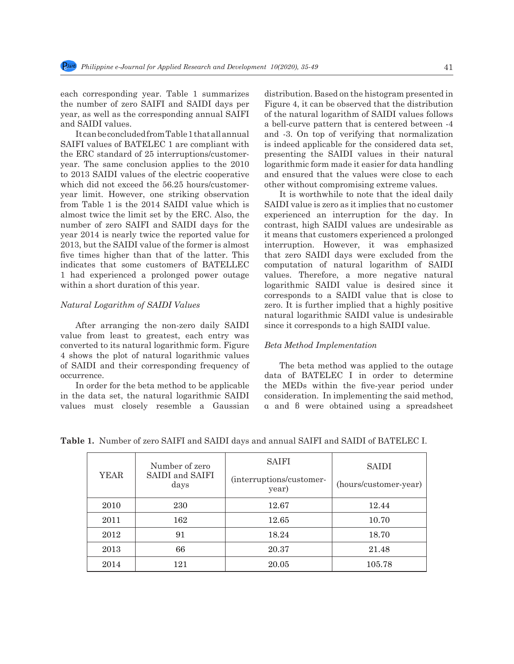each corresponding year. Table 1 summarizes the number of zero SAIFI and SAIDI days per year, as well as the corresponding annual SAIFI and SAIDI values.

It can be concluded from Table 1 that all annual SAIFI values of BATELEC 1 are compliant with the ERC standard of 25 interruptions/customeryear. The same conclusion applies to the 2010 to 2013 SAIDI values of the electric cooperative which did not exceed the 56.25 hours/customeryear limit. However, one striking observation from Table 1 is the 2014 SAIDI value which is almost twice the limit set by the ERC. Also, the number of zero SAIFI and SAIDI days for the year 2014 is nearly twice the reported value for 2013, but the SAIDI value of the former is almost five times higher than that of the latter. This indicates that some customers of BATELLEC 1 had experienced a prolonged power outage within a short duration of this year.

#### *Natural Logarithm of SAIDI Values*

After arranging the non-zero daily SAIDI value from least to greatest, each entry was converted to its natural logarithmic form. Figure 4 shows the plot of natural logarithmic values of SAIDI and their corresponding frequency of occurrence.

In order for the beta method to be applicable in the data set, the natural logarithmic SAIDI values must closely resemble a Gaussian distribution. Based on the histogram presented in Figure 4, it can be observed that the distribution of the natural logarithm of SAIDI values follows a bell-curve pattern that is centered between -4 and -3. On top of verifying that normalization is indeed applicable for the considered data set, presenting the SAIDI values in their natural logarithmic form made it easier for data handling and ensured that the values were close to each other without compromising extreme values.

It is worthwhile to note that the ideal daily SAIDI value is zero as it implies that no customer experienced an interruption for the day. In contrast, high SAIDI values are undesirable as it means that customers experienced a prolonged interruption. However, it was emphasized that zero SAIDI days were excluded from the computation of natural logarithm of SAIDI values. Therefore, a more negative natural logarithmic SAIDI value is desired since it corresponds to a SAIDI value that is close to zero. It is further implied that a highly positive natural logarithmic SAIDI value is undesirable since it corresponds to a high SAIDI value.

#### *Beta Method Implementation*

The beta method was applied to the outage data of BATELEC I in order to determine the MEDs within the five-year period under consideration. In implementing the said method, α and β were obtained using a spreadsheet

| YEAR | Number of zero<br>SAIDI and SAIFI<br>days | <b>SAIFI</b><br>(interruptions/customer-<br>year) | <b>SAIDI</b><br>(hours/customer-year) |
|------|-------------------------------------------|---------------------------------------------------|---------------------------------------|
| 2010 | 230                                       | 12.67                                             | 12.44                                 |
| 2011 | 162                                       | 12.65                                             | 10.70                                 |
| 2012 | 91                                        | 18.24                                             | 18.70                                 |
| 2013 | 66                                        | 20.37                                             | 21.48                                 |
| 2014 | 121                                       | 20.05                                             | 105.78                                |

**Table 1.** Number of zero SAIFI and SAIDI days and annual SAIFI and SAIDI of BATELEC I.



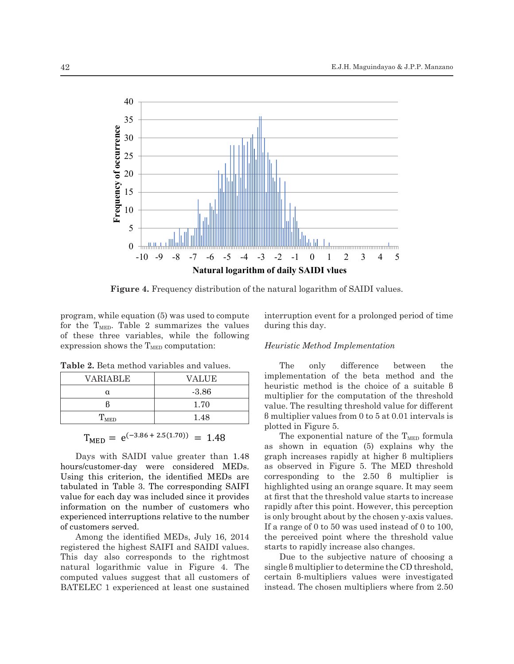

**Figure 4.** Frequency distribution of the natural logarithm of SAIDI values.

program, while equation  $(5)$  was used to compute interruption event for a for the  $T<sub>MED</sub>$ . Table 2 summarizes the values during this day. of these three variables, while the following  $\overline{M}$  is  $\overline{M}$  in  $\overline{M}$  in  $\overline{M}$  is the histogram presented in Fig. 4,  $\overline{M}$  is the histogram presented in Fig. 4,  $\overline{M}$  is the histogram presented in Fig. 4 expression shows the  $T_{\text{MED}}$  computation: Heuristic Method Implementation

**Table 2.** Beta method variables and values.

| <b>VARIABLE</b>   | <b>VALUE</b> |
|-------------------|--------------|
|                   | $-3.86$      |
|                   | 1.70         |
| $\rm T_{\rm MED}$ | 1.48         |

# $T_{\text{MFD}} = e^{(-3.86 + 2.5(1.70))} = 1.48$

311 Days with SAIDI value greater than 1.48 hours/customer-day were considered MEDs. hours/customer-day were considered MEDs. 1313 Using this criterion, the identified MEDs are corresponding to the corresponding to the corresponding to the corresponding to the same corresponding to the corresponding to the corresponding to the corresponding to th tabulated in Table 3. The corresponding SAIFI highlighted using an or value for each day was included since it provides experienced interruptions relative to the number Days with SAIDI value greater than 1.48 information on the number of customers who of customers served.

> raming the recharmed manus, start registered the highest SAIFI and SAIDI values. This day also corresponds to the rightmost natural logarithmic value in Figure 4. The  $\mathcal{L}$  computed values suggest that all customers of certain BATELEC 1 experienced at least one sustained instead Among the identified MEDs, July 16, 2014

interruption event for a prolonged period of time during this day.

# *Heuristic Method Implementation*

The only difference between the implementation of the beta method and the heuristic method is the choice of a suitable β multiplier for the computation of the threshold value. The resulting threshold value for different β multiplier values from 0 to 5 at 0.01 intervals is plotted in Figure 5.

The exponential nature of the  $T_{\text{MED}}$  formula as shown in equation (5) explains why the graph increases rapidly at higher β multipliers as observed in Figure 5. The MED threshold corresponding to the 2.50 β multiplier is highlighted using an orange square. It may seem at first that the threshold value starts to increase rapidly after this point. However, this perception is only brought about by the chosen y-axis values. If a range of 0 to 50 was used instead of 0 to 100, the perceived point where the threshold value starts to rapidly increase also changes.

Due to the subjective nature of choosing a single β multiplier to determine the CD threshold, certain β-multipliers values were investigated instead. The chosen multipliers where from 2.50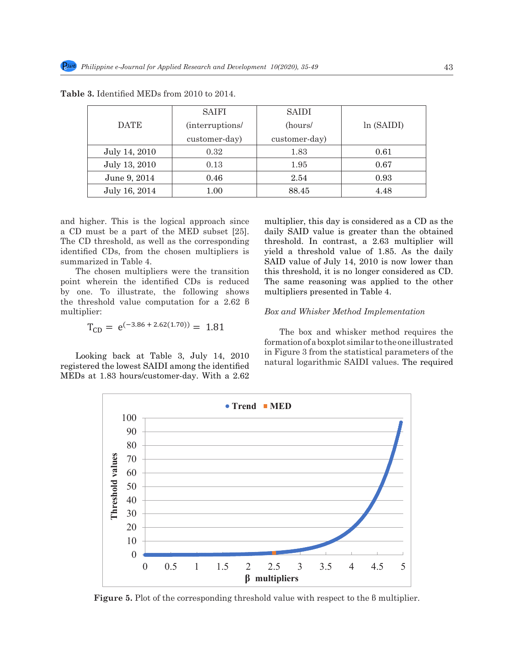|               | <b>SAIFI</b>    | SAIDI         |            |
|---------------|-----------------|---------------|------------|
| <b>DATE</b>   | (interruptions/ | (hours/       | ln (SAIDI) |
|               | customer-day)   | customer-day) |            |
| July 14, 2010 | 0.32            | 1.83          | 0.61       |
| July 13, 2010 | 0.13            | 1.95          | 0.67       |
| June 9, 2014  | 0.46            | 2.54          | 0.93       |
| July 16, 2014 | 1.00            | 88.45         | 4.48       |

**Table 3.** Identified MEDs from 2010 to 2014.

and higher. This is the logical approach since multi a CD must be a part of the MED subset  $[25]$ . daily SAID value is go The CD threshold, as well as the corresponding threshold. In contrast  $\frac{1}{2}$  threshold,  $\frac{1}{2}$  certain  $\frac{1}{2}$  certain  $\frac{1}{2}$  certain  $\frac{1}{2}$  certain  $\frac{1}{2}$  certain  $\frac{1}{2}$  certain  $\frac{1}{2}$  certain  $\frac{$ identified CDs, from the chosen multipliers is yield a threshold value  $\frac{1}{2}$  summarized in Table 4. summarized in Table 4.

 $\frac{344}{251}$  The chosen multipliers were the transition this threshold, it is no point wherein the identified CDs is reduced The same reasoning was applied to the other by one. To illustrate, the following shows multipliers presented in  $\frac{1}{2}$  and  $\frac{1}{2}$  multipliers presented in the threshold value computation for a 2.62  $\beta$ multiplier: The chosen multipliers were the transition this threshold, it is no longer considered as CD.

$$
T_{CD} = e^{(-3.86 + 2.62(1.70))} = 1.81
$$

Looking back at Table 3, July 14, 2010 registered the lowest SAIDI among the identified and all allegarithmic SAIDI values. The required MEDs at 1.83 hours/customer-day. With a 2.62

multiplier, this day is considered as a CD as the daily SAID value is greater than the obtained threshold. In contrast, a 2.63 multiplier will yield a threshold value of 1.85. As the daily summarized in Table 4. SAID value of July 14, 2010 is now lower than The same reasoning was applied to the other multipliers presented in Table 4.

## *Box and Whisker Method Implementation*

The box and whisker method requires the formation of a boxplot similar to the one illustrated Looking back at Table 3, July 14, 2010 in Figure 3 from the statistical parameters of the natural logarithmic SAIDI values. The required



333 Fig. 5. Plot of the corresponding threshold value with respect to the β multiplier. **Figure 5.** Plot of the corresponding threshold value with respect to the β multiplier.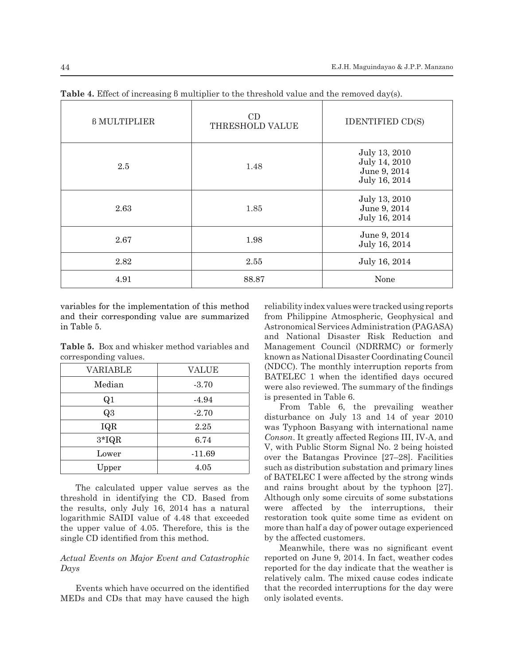| <b>B MULTIPLIER</b> | CD<br>THRESHOLD VALUE | <b>IDENTIFIED CD(S)</b>                                         |
|---------------------|-----------------------|-----------------------------------------------------------------|
| 2.5                 | 1.48                  | July 13, 2010<br>July 14, 2010<br>June 9, 2014<br>July 16, 2014 |
| 2.63                | 1.85                  | July 13, 2010<br>June 9, 2014<br>July 16, 2014                  |
| 2.67                | 1.98                  | June 9, 2014<br>July 16, 2014                                   |
| 2.82                | 2.55                  | July 16, 2014                                                   |
| 4.91                | 88.87                 | None                                                            |

**Table 4.** Effect of increasing β multiplier to the threshold value and the removed day(s).

variables for the implementation of this method and their corresponding value are summarized in Table 5.

**Table 5.** Box and whisker method variables and corresponding values.

| VARIABLE       | VALUE    |
|----------------|----------|
| Median         | $-3.70$  |
| Q <sub>1</sub> | $-4.94$  |
| Q3             | $-2.70$  |
| IQR            | 2.25     |
| $3*IQR$        | 6.74     |
| Lower          | $-11.69$ |
| Upper          | 4.05     |

The calculated upper value serves as the threshold in identifying the CD. Based from the results, only July 16, 2014 has a natural logarithmic SAIDI value of 4.48 that exceeded the upper value of 4.05. Therefore, this is the single CD identified from this method.

# *Actual Events on Major Event and Catastrophic Days*

Events which have occurred on the identified MEDs and CDs that may have caused the high reliability index values were tracked using reports from Philippine Atmospheric, Geophysical and Astronomical Services Administration (PAGASA) and National Disaster Risk Reduction and Management Council (NDRRMC) or formerly known as National Disaster Coordinating Council (NDCC). The monthly interruption reports from BATELEC 1 when the identified days occured were also reviewed. The summary of the findings is presented in Table 6.

From Table 6, the prevailing weather disturbance on July 13 and 14 of year 2010 was Typhoon Basyang with international name *Conson*. It greatly affected Regions III, IV-A, and V, with Public Storm Signal No. 2 being hoisted over the Batangas Province [27–28]. Facilities such as distribution substation and primary lines of BATELEC I were affected by the strong winds and rains brought about by the typhoon [27]. Although only some circuits of some substations were affected by the interruptions, their restoration took quite some time as evident on more than half a day of power outage experienced by the affected customers.

Meanwhile, there was no significant event reported on June 9, 2014. In fact, weather codes reported for the day indicate that the weather is relatively calm. The mixed cause codes indicate that the recorded interruptions for the day were only isolated events.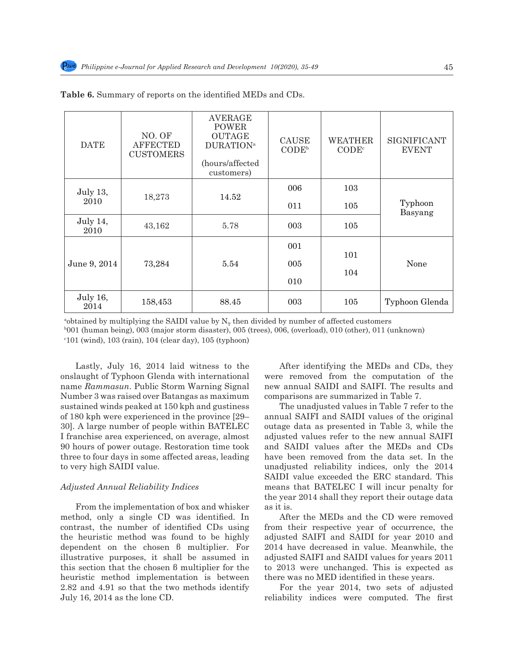| <b>DATE</b>      | NO. OF<br><b>AFFECTED</b><br><b>CUSTOMERS</b> | <b>AVERAGE</b><br><b>POWER</b><br><b>OUTAGE</b><br><b>DURATION</b> <sup>a</sup><br>(hours/affected<br>customers) | CAUSE<br>CODE <sup>b</sup> | <b>WEATHER</b><br>$\mathrm{CODE}^{\circ}$ | <b>SIGNIFICANT</b><br><b>EVENT</b> |
|------------------|-----------------------------------------------|------------------------------------------------------------------------------------------------------------------|----------------------------|-------------------------------------------|------------------------------------|
| <b>July 13,</b>  | 18,273                                        | 14.52                                                                                                            | 006                        | 103                                       |                                    |
| 2010             |                                               |                                                                                                                  | 011                        | 105                                       | Typhoon<br>Basyang                 |
| July 14,<br>2010 | 43,162                                        | 5.78                                                                                                             | 003                        | 105                                       |                                    |
|                  |                                               |                                                                                                                  | 001                        | 101                                       |                                    |
| June 9, 2014     | 73,284                                        | 5.54                                                                                                             | 005                        |                                           | None                               |
|                  |                                               |                                                                                                                  | 010                        | 104                                       |                                    |
| July 16,<br>2014 | 158,453                                       | 88.45                                                                                                            | 003                        | 105                                       | Typhoon Glenda                     |

# **Table 6.** Summary of reports on the identified MEDs and CDs.

<sup>a</sup>obtained by multiplying the SAIDI value by  $N_T$  then divided by number of affected customers<br><sup>b</sup>001 (human being), 003 (major storm disaster), 005 (trees), 006 (overload), 010 (other), 011 (i 001 (human being), 003 (major storm disaster), 005 (trees), 006, (overload), 010 (other), 011 (unknown) c 101 (wind), 103 (rain), 104 (clear day), 105 (typhoon)

Lastly, July 16, 2014 laid witness to the onslaught of Typhoon Glenda with international name *Rammasun*. Public Storm Warning Signal Number 3 was raised over Batangas as maximum sustained winds peaked at 150 kph and gustiness of 180 kph were experienced in the province [29– 30]. A large number of people within BATELEC I franchise area experienced, on average, almost 90 hours of power outage. Restoration time took three to four days in some affected areas, leading to very high SAIDI value.

## *Adjusted Annual Reliability Indices*

From the implementation of box and whisker method, only a single CD was identified. In contrast, the number of identified CDs using the heuristic method was found to be highly dependent on the chosen β multiplier. For illustrative purposes, it shall be assumed in this section that the chosen β multiplier for the heuristic method implementation is between 2.82 and 4.91 so that the two methods identify July 16, 2014 as the lone CD.

After identifying the MEDs and CDs, they were removed from the computation of the new annual SAIDI and SAIFI. The results and comparisons are summarized in Table 7.

The unadjusted values in Table 7 refer to the annual SAIFI and SAIDI values of the original outage data as presented in Table 3, while the adjusted values refer to the new annual SAIFI and SAIDI values after the MEDs and CDs have been removed from the data set. In the unadjusted reliability indices, only the 2014 SAIDI value exceeded the ERC standard. This means that BATELEC I will incur penalty for the year 2014 shall they report their outage data as it is.

After the MEDs and the CD were removed from their respective year of occurrence, the adjusted SAIFI and SAIDI for year 2010 and 2014 have decreased in value. Meanwhile, the adjusted SAIFI and SAIDI values for years 2011 to 2013 were unchanged. This is expected as there was no MED identified in these years.

For the year 2014, two sets of adjusted reliability indices were computed. The first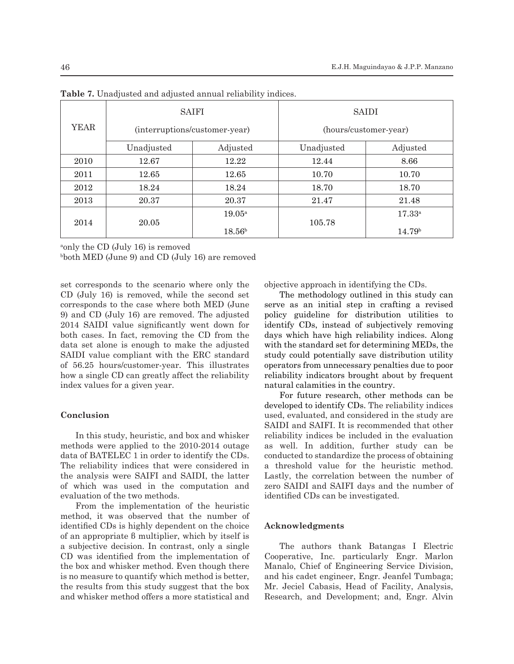|      | <b>SAIFI</b>                  |                 | <b>SAIDI</b>          |                    |  |
|------|-------------------------------|-----------------|-----------------------|--------------------|--|
| YEAR | (interruptions/customer-year) |                 | (hours/customer-year) |                    |  |
|      | Unadjusted                    | Adjusted        | Unadjusted            | Adjusted           |  |
| 2010 | 12.67                         | 12.22           | 12.44                 | 8.66               |  |
| 2011 | 12.65                         | 12.65           | 10.70                 | 10.70              |  |
| 2012 | 18.24                         | 18.24           | 18.70                 | 18.70              |  |
| 2013 | 20.37                         | 20.37           | 21.47                 | 21.48              |  |
| 2014 | 20.05                         | $19.05^{\rm a}$ |                       | $17.33^{a}$        |  |
|      |                               | $18.56^{\rm b}$ | 105.78                | 14.79 <sup>b</sup> |  |

**Table 7.** Unadjusted and adjusted annual reliability indices.

a only the CD (July 16) is removed

b both MED (June 9) and CD (July 16) are removed

set corresponds to the scenario where only the CD (July 16) is removed, while the second set corresponds to the case where both MED (June 9) and CD (July 16) are removed. The adjusted 2014 SAIDI value significantly went down for both cases. In fact, removing the CD from the data set alone is enough to make the adjusted SAIDI value compliant with the ERC standard of 56.25 hours/customer-year. This illustrates how a single CD can greatly affect the reliability index values for a given year.

#### **Conclusion**

In this study, heuristic, and box and whisker methods were applied to the 2010-2014 outage data of BATELEC 1 in order to identify the CDs. The reliability indices that were considered in the analysis were SAIFI and SAIDI, the latter of which was used in the computation and evaluation of the two methods.

From the implementation of the heuristic method, it was observed that the number of identified CDs is highly dependent on the choice of an appropriate β multiplier, which by itself is a subjective decision. In contrast, only a single CD was identified from the implementation of the box and whisker method. Even though there is no measure to quantify which method is better, the results from this study suggest that the box and whisker method offers a more statistical and objective approach in identifying the CDs.

The methodology outlined in this study can serve as an initial step in crafting a revised policy guideline for distribution utilities to identify CDs, instead of subjectively removing days which have high reliability indices. Along with the standard set for determining MEDs, the study could potentially save distribution utility operators from unnecessary penalties due to poor reliability indicators brought about by frequent natural calamities in the country.

For future research, other methods can be developed to identify CDs. The reliability indices used, evaluated, and considered in the study are SAIDI and SAIFI. It is recommended that other reliability indices be included in the evaluation as well. In addition, further study can be conducted to standardize the process of obtaining a threshold value for the heuristic method. Lastly, the correlation between the number of zero SAIDI and SAIFI days and the number of identified CDs can be investigated.

### **Acknowledgments**

The authors thank Batangas I Electric Cooperative, Inc. particularly Engr. Marlon Manalo, Chief of Engineering Service Division, and his cadet engineer, Engr. Jeanfel Tumbaga; Mr. Jeciel Cabasis, Head of Facility, Analysis, Research, and Development; and, Engr. Alvin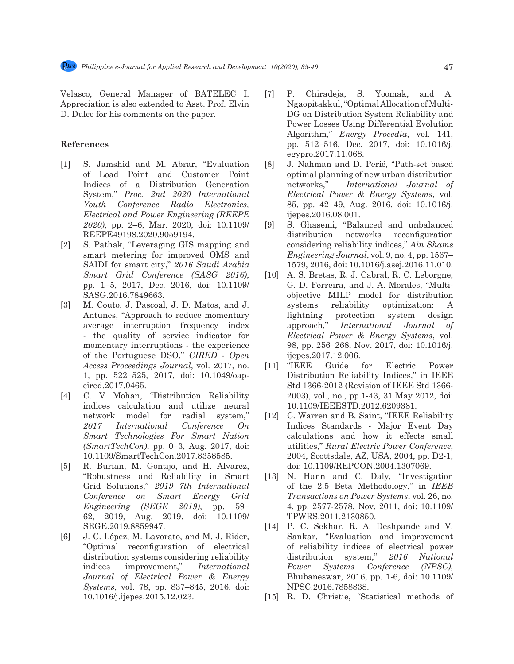Velasco, General Manager of BATELEC I. Appreciation is also extended to Asst. Prof. Elvin D. Dulce for his comments on the paper.

# **References**

- [1] S. Jamshid and M. Abrar, "Evaluation of Load Point and Customer Point Indices of a Distribution Generation System," *Proc. 2nd 2020 International Youth Conference Radio Electronics, Electrical and Power Engineering (REEPE 2020)*, pp. 2–6, Mar. 2020, doi: 10.1109/ REEPE49198.2020.9059194.
- [2] S. Pathak, "Leveraging GIS mapping and smart metering for improved OMS and SAIDI for smart city," *2016 Saudi Arabia Smart Grid Conference (SASG 2016)*, pp. 1–5, 2017, Dec. 2016, doi: 10.1109/ SASG.2016.7849663.
- [3] M. Couto, J. Pascoal, J. D. Matos, and J. Antunes, "Approach to reduce momentary average interruption frequency index the quality of service indicator for momentary interruptions - the experience of the Portuguese DSO," *CIRED - Open Access Proceedings Journal*, vol. 2017, no. 1, pp. 522–525, 2017, doi: 10.1049/oapcired.2017.0465.
- [4] C. V Mohan, "Distribution Reliability indices calculation and utilize neural network model for radial system," *2017 International Conference On Smart Technologies For Smart Nation (SmartTechCon)*, pp. 0–3, Aug. 2017, doi: 10.1109/SmartTechCon.2017.8358585.
- [5] R. Burian, M. Gontijo, and H. Alvarez, "Robustness and Reliability in Smart Grid Solutions," *2019 7th International Conference on Smart Energy Grid Engineering (SEGE 2019)*, pp. 59– 62, 2019, Aug. 2019. doi: 10.1109/ SEGE.2019.8859947.
- [6] J. C. López, M. Lavorato, and M. J. Rider, "Optimal reconfiguration of electrical distribution systems considering reliability indices improvement," *International Journal of Electrical Power & Energy Systems*, vol. 78, pp. 837–845, 2016, doi: 10.1016/j.ijepes.2015.12.023.
- [7] P. Chiradeja, S. Yoomak, and A. Ngaopitakkul, "Optimal Allocation of Multi-DG on Distribution System Reliability and Power Losses Using Differential Evolution Algorithm," *Energy Procedia*, vol. 141, pp. 512–516, Dec. 2017, doi: 10.1016/j. egypro.2017.11.068.
- [8] J. Nahman and D. Perić, "Path-set based optimal planning of new urban distribution networks," *International Journal of Electrical Power & Energy Systems*, vol. 85, pp. 42–49, Aug. 2016, doi: 10.1016/j. ijepes.2016.08.001.
- [9] S. Ghasemi, "Balanced and unbalanced distribution networks reconfiguration considering reliability indices," *Ain Shams Engineering Journal*, vol. 9, no. 4, pp. 1567– 1579, 2016, doi: 10.1016/j.asej.2016.11.010.
- [10] A. S. Bretas, R. J. Cabral, R. C. Leborgne, G. D. Ferreira, and J. A. Morales, "Multiobjective MILP model for distribution systems reliability optimization: A lightning protection system design approach," *International Journal of Electrical Power & Energy Systems*, vol. 98, pp. 256–268, Nov. 2017, doi: 10.1016/j. ijepes.2017.12.006.
- [11] "IEEE Guide for Electric Power Distribution Reliability Indices," in IEEE Std 1366-2012 (Revision of IEEE Std 1366- 2003), vol., no., pp.1-43, 31 May 2012, doi: 10.1109/IEEESTD.2012.6209381.
- [12] C. Warren and B. Saint, "IEEE Reliability Indices Standards - Major Event Day calculations and how it effects small utilities," *Rural Electric Power Conference*, 2004, Scottsdale, AZ, USA, 2004, pp. D2-1, doi: 10.1109/REPCON.2004.1307069.
- [13] N. Hann and C. Daly, "Investigation of the 2.5 Beta Methodology," in *IEEE Transactions on Power Systems*, vol. 26, no. 4, pp. 2577-2578, Nov. 2011, doi: 10.1109/ TPWRS.2011.2130850.
- [14] P. C. Sekhar, R. A. Deshpande and V. Sankar, "Evaluation and improvement of reliability indices of electrical power distribution system," *2016 National Power Systems Conference (NPSC)*, Bhubaneswar, 2016, pp. 1-6, doi: 10.1109/ NPSC.2016.7858838.
- [15] R. D. Christie, "Statistical methods of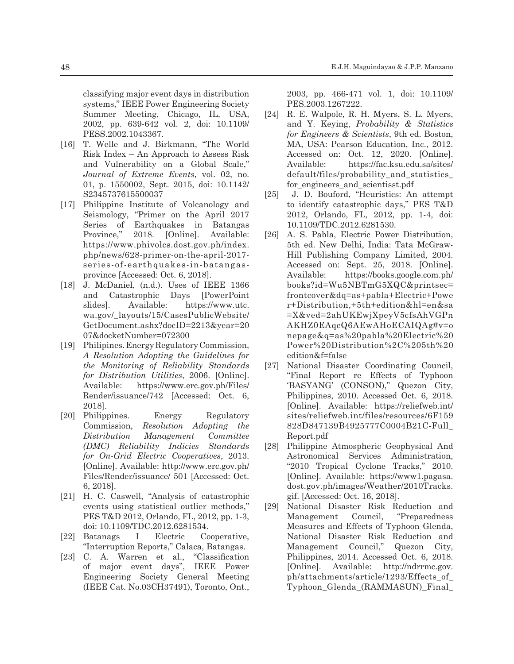classifying major event days in distribution systems," IEEE Power Engineering Society Summer Meeting, Chicago, IL, USA, 2002, pp. 639-642 vol. 2, doi: 10.1109/ PESS.2002.1043367.

- [16] T. Welle and J. Birkmann, "The World Risk Index – An Approach to Assess Risk and Vulnerability on a Global Scale," *Journal of Extreme Events*, vol. 02, no. 01, p. 1550002, Sept. 2015, doi: 10.1142/ S2345737615500037
- [17] Philippine Institute of Volcanology and Seismology, "Primer on the April 2017 Series of Earthquakes in Batangas Province," 2018. [Online]. Available: https://www.phivolcs.dost.gov.ph/index. php/news/628-primer-on-the-april-2017 series-of-earthquakes-in-batangasprovince [Accessed: Oct. 6, 2018].
- [18] J. McDaniel, (n.d.). Uses of IEEE 1366 and Catastrophic Days [PowerPoint slides]. Available: https://www.utc. wa.gov/\_layouts/15/CasesPublicWebsite/ GetDocument.ashx?docID=2213&year=20 07&docketNumber=072300
- [19] Philipines. Energy Regulatory Commission, *A Resolution Adopting the Guidelines for the Monitoring of Reliability Standards for Distribution Utilities*, 2006. [Online]. Available: https://www.erc.gov.ph/Files/ Render/issuance/742 [Accessed: Oct. 6, 2018].
- [20] Philippines. Energy Regulatory Commission, *Resolution Adopting the Distribution Management Committee (DMC) Reliability Indicies Standards for On-Grid Electric Cooperatives*, 2013. [Online]. Available: http://www.erc.gov.ph/ Files/Render/issuance/ 501 [Accessed: Oct. 6, 2018].
- [21] H. C. Caswell, "Analysis of catastrophic events using statistical outlier methods," PES T&D 2012, Orlando, FL, 2012, pp. 1-3, doi: 10.1109/TDC.2012.6281534.
- [22] Batanags I Electric Cooperative, "Interruption Reports," Calaca, Batangas.
- [23] C. A. Warren et al., "Classification of major event days", IEEE Power Engineering Society General Meeting (IEEE Cat. No.03CH37491), Toronto, Ont.,

2003, pp. 466-471 vol. 1, doi: 10.1109/ PES.2003.1267222.

- [24] R. E. Walpole, R. H. Myers, S. L. Myers, and Y. Keying, *Probability & Statistics for Engineers & Scientists*, 9th ed. Boston, MA, USA: Pearson Education, Inc., 2012. Accessed on: Oct. 12, 2020. [Online]. Available: https://fac.ksu.edu.sa/sites/ default/files/probability and statistics for\_engineers\_and\_scientisst.pdf
- [25] J. D. Bouford, "Heuristics: An attempt to identify catastrophic days," PES T&D 2012, Orlando, FL, 2012, pp. 1-4, doi: 10.1109/TDC.2012.6281530.
- [26] A. S. Pabla, Electric Power Distribution, 5th ed. New Delhi, India: Tata McGraw-Hill Publishing Company Limited, 2004. Accessed on: Sept. 25, 2018. [Online]. Available: https://books.google.com.ph/ books?id=Wu5NBTmG5XQC&printsec= frontcover&dq=as+pabla+Electric+Powe r+Distribution,+5th+edition&hl=en&sa =X&ved=2ahUKEwjXpeyV5cfsAhVGPn AKHZ0EAqcQ6AEwAHoECAIQAg#v=o nepage&q=as%20pabla%20Electric%20 Power%20Distribution%2C%205th%20 edition&f=false
- [27] National Disaster Coordinating Council, "Final Report re Effects of Typhoon 'BASYANG' (CONSON)," Quezon City, Philippines, 2010. Accessed Oct. 6, 2018. [Online]. Available: https://reliefweb.int/ sites/reliefweb.int/files/resources/6F159 828D847139B4925777C0004B21C-Full\_ Report.pdf
- [28] Philippine Atmospheric Geophysical And Astronomical Services Administration, "2010 Tropical Cyclone Tracks," 2010. [Online]. Available: https://www1.pagasa. dost.gov.ph/images/Weather/2010Tracks. gif. [Accessed: Oct. 16, 2018].
- [29] National Disaster Risk Reduction and Management Council, "Preparedness Measures and Effects of Typhoon Glenda, National Disaster Risk Reduction and Management Council," Quezon City, Philippines, 2014. Accessed Oct. 6, 2018. [Online]. Available: http://ndrrmc.gov. ph/attachments/article/1293/Effects\_of\_ Typhoon\_Glenda\_(RAMMASUN)\_Final\_